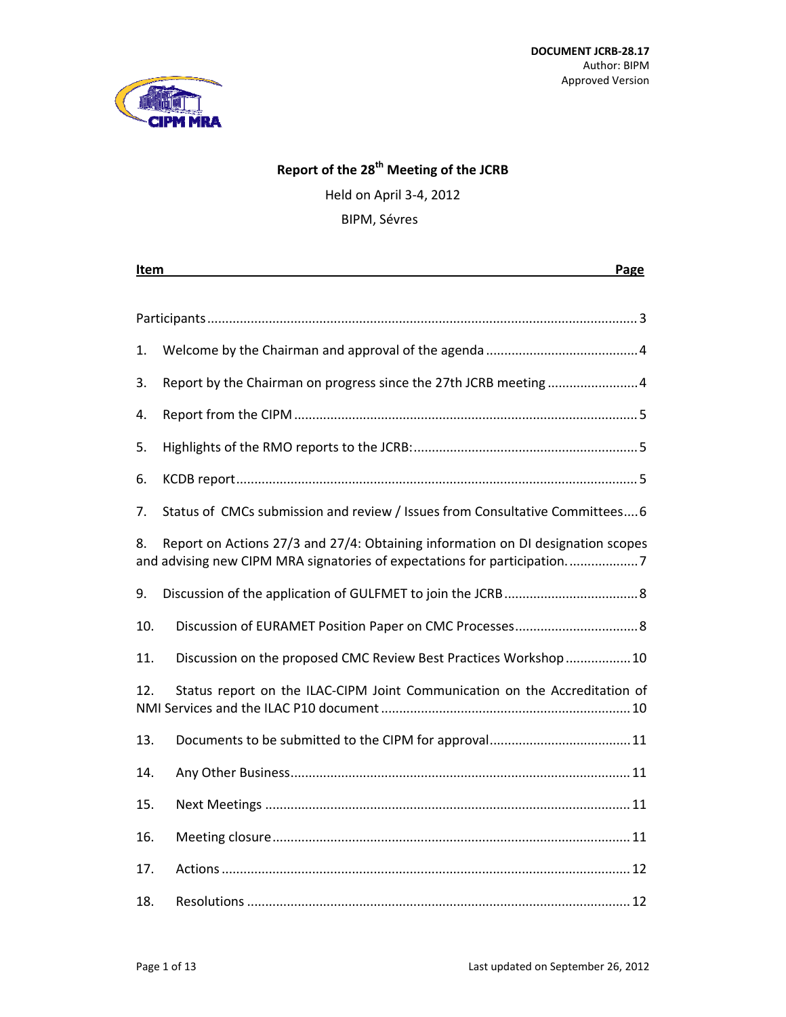

# **Report of the 28th Meeting of the JCRB**

Held on April 3‐4, 2012 BIPM, Sévres

| Item<br>Page |                                                                                                                                                             |  |  |  |  |
|--------------|-------------------------------------------------------------------------------------------------------------------------------------------------------------|--|--|--|--|
|              |                                                                                                                                                             |  |  |  |  |
|              |                                                                                                                                                             |  |  |  |  |
| 1.           |                                                                                                                                                             |  |  |  |  |
| 3.           | Report by the Chairman on progress since the 27th JCRB meeting 4                                                                                            |  |  |  |  |
| 4.           |                                                                                                                                                             |  |  |  |  |
| 5.           |                                                                                                                                                             |  |  |  |  |
| 6.           |                                                                                                                                                             |  |  |  |  |
| 7.           | Status of CMCs submission and review / Issues from Consultative Committees 6                                                                                |  |  |  |  |
| 8.           | Report on Actions 27/3 and 27/4: Obtaining information on DI designation scopes<br>and advising new CIPM MRA signatories of expectations for participation7 |  |  |  |  |
| 9.           |                                                                                                                                                             |  |  |  |  |
| 10.          |                                                                                                                                                             |  |  |  |  |
| 11.          | Discussion on the proposed CMC Review Best Practices Workshop10                                                                                             |  |  |  |  |
| 12.          | Status report on the ILAC-CIPM Joint Communication on the Accreditation of                                                                                  |  |  |  |  |
| 13.          |                                                                                                                                                             |  |  |  |  |
| 14.          |                                                                                                                                                             |  |  |  |  |
| 15.          |                                                                                                                                                             |  |  |  |  |
| 16.          |                                                                                                                                                             |  |  |  |  |
| 17.          |                                                                                                                                                             |  |  |  |  |
| 18.          |                                                                                                                                                             |  |  |  |  |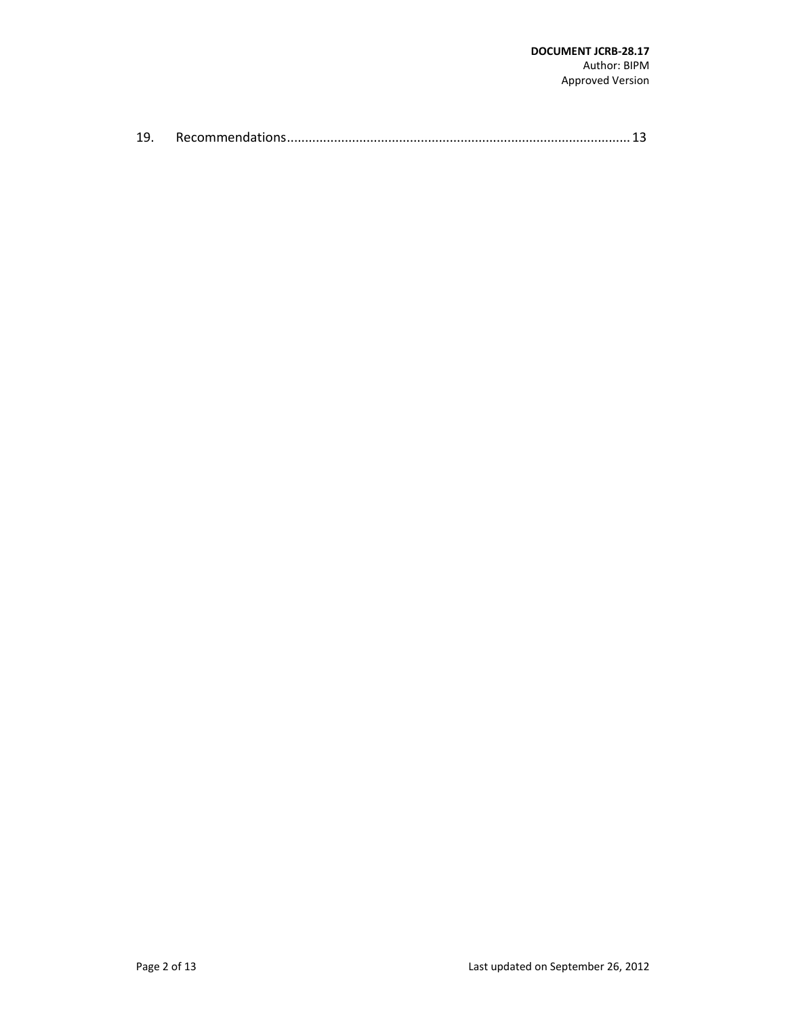| 19. |  |  |  |
|-----|--|--|--|
|-----|--|--|--|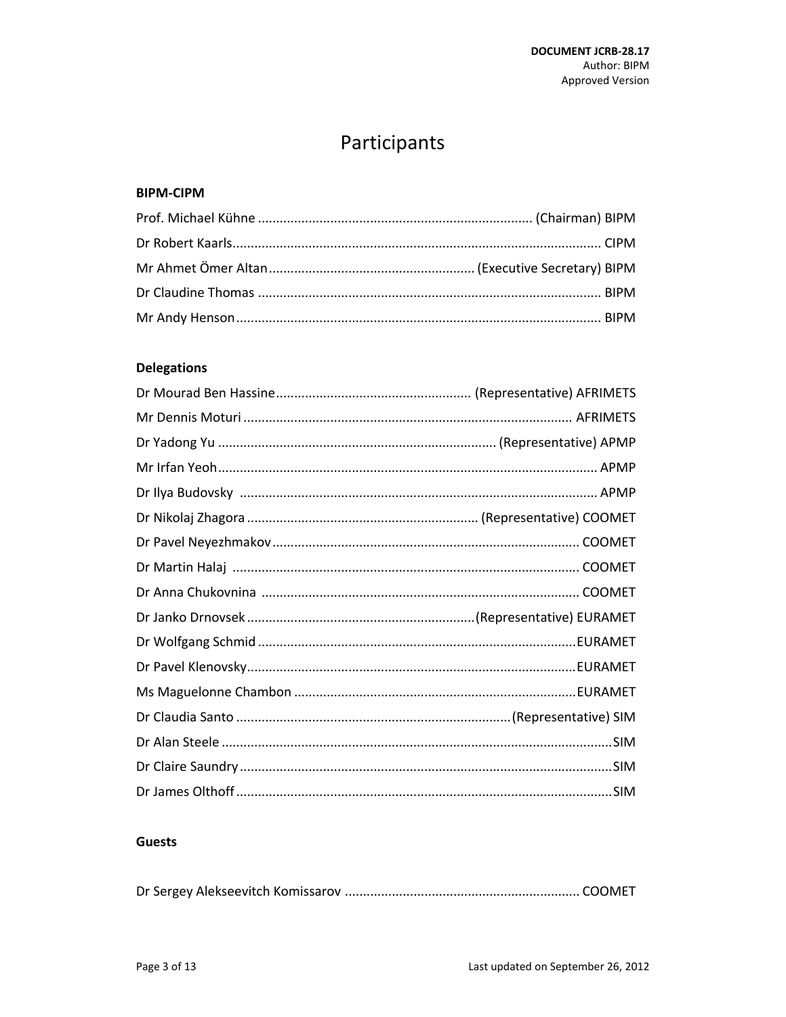# Participants

#### **BIPM-CIPM**

# **Delegations**

## **Guests**

|--|--|--|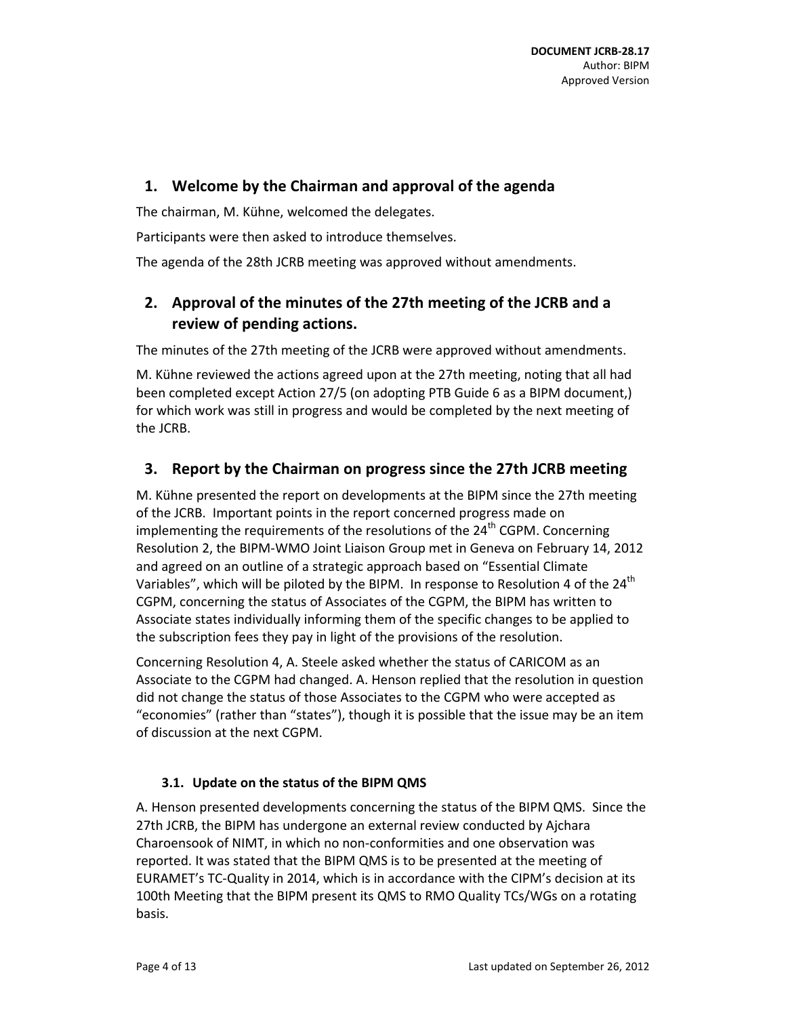# **1. Welcome by the Chairman and approval of the agenda**

The chairman, M. Kühne, welcomed the delegates.

Participants were then asked to introduce themselves.

The agenda of the 28th JCRB meeting was approved without amendments.

# **2. Approval of the minutes of the 27th meeting of the JCRB and a review of pending actions.**

The minutes of the 27th meeting of the JCRB were approved without amendments.

M. Kühne reviewed the actions agreed upon at the 27th meeting, noting that all had been completed except Action 27/5 (on adopting PTB Guide 6 as a BIPM document,) for which work was still in progress and would be completed by the next meeting of the JCRB.

# **3. Report by the Chairman on progress since the 27th JCRB meeting**

M. Kühne presented the report on developments at the BIPM since the 27th meeting of the JCRB. Important points in the report concerned progress made on implementing the requirements of the resolutions of the 24<sup>th</sup> CGPM. Concerning Resolution 2, the BIPM‐WMO Joint Liaison Group met in Geneva on February 14, 2012 and agreed on an outline of a strategic approach based on "Essential Climate Variables", which will be piloted by the BIPM. In response to Resolution 4 of the  $24<sup>th</sup>$ CGPM, concerning the status of Associates of the CGPM, the BIPM has written to Associate states individually informing them of the specific changes to be applied to the subscription fees they pay in light of the provisions of the resolution.

Concerning Resolution 4, A. Steele asked whether the status of CARICOM as an Associate to the CGPM had changed. A. Henson replied that the resolution in question did not change the status of those Associates to the CGPM who were accepted as "economies" (rather than "states"), though it is possible that the issue may be an item of discussion at the next CGPM.

#### **3.1. Update on the status of the BIPM QMS**

A. Henson presented developments concerning the status of the BIPM QMS. Since the 27th JCRB, the BIPM has undergone an external review conducted by Ajchara Charoensook of NIMT, in which no non‐conformities and one observation was reported. It was stated that the BIPM QMS is to be presented at the meeting of EURAMET's TC‐Quality in 2014, which is in accordance with the CIPM's decision at its 100th Meeting that the BIPM present its QMS to RMO Quality TCs/WGs on a rotating basis.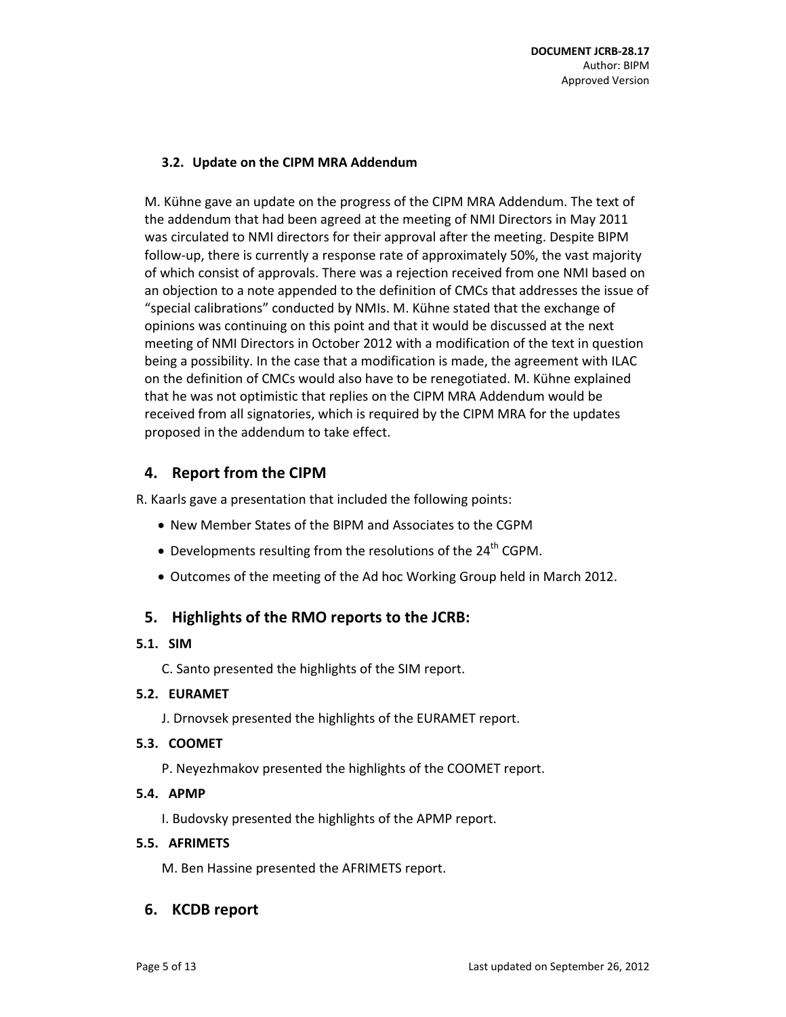#### **3.2. Update on the CIPM MRA Addendum**

M. Kühne gave an update on the progress of the CIPM MRA Addendum. The text of the addendum that had been agreed at the meeting of NMI Directors in May 2011 was circulated to NMI directors for their approval after the meeting. Despite BIPM follow-up, there is currently a response rate of approximately 50%, the vast majority of which consist of approvals. There was a rejection received from one NMI based on an objection to a note appended to the definition of CMCs that addresses the issue of "special calibrations" conducted by NMIs. M. Kühne stated that the exchange of opinions was continuing on this point and that it would be discussed at the next meeting of NMI Directors in October 2012 with a modification of the text in question being a possibility. In the case that a modification is made, the agreement with ILAC on the definition of CMCs would also have to be renegotiated. M. Kühne explained that he was not optimistic that replies on the CIPM MRA Addendum would be received from all signatories, which is required by the CIPM MRA for the updates proposed in the addendum to take effect.

# **4. Report from the CIPM**

R. Kaarls gave a presentation that included the following points:

- New Member States of the BIPM and Associates to the CGPM
- $\bullet$  Developments resulting from the resolutions of the 24<sup>th</sup> CGPM.
- Outcomes of the meeting of the Ad hoc Working Group held in March 2012.

# **5. Highlights of the RMO reports to the JCRB:**

#### **5.1. SIM**

C. Santo presented the highlights of the SIM report.

#### **5.2. EURAMET**

J. Drnovsek presented the highlights of the EURAMET report.

#### **5.3. COOMET**

P. Neyezhmakov presented the highlights of the COOMET report.

#### **5.4. APMP**

I. Budovsky presented the highlights of the APMP report.

#### **5.5. AFRIMETS**

M. Ben Hassine presented the AFRIMETS report.

# **6. KCDB report**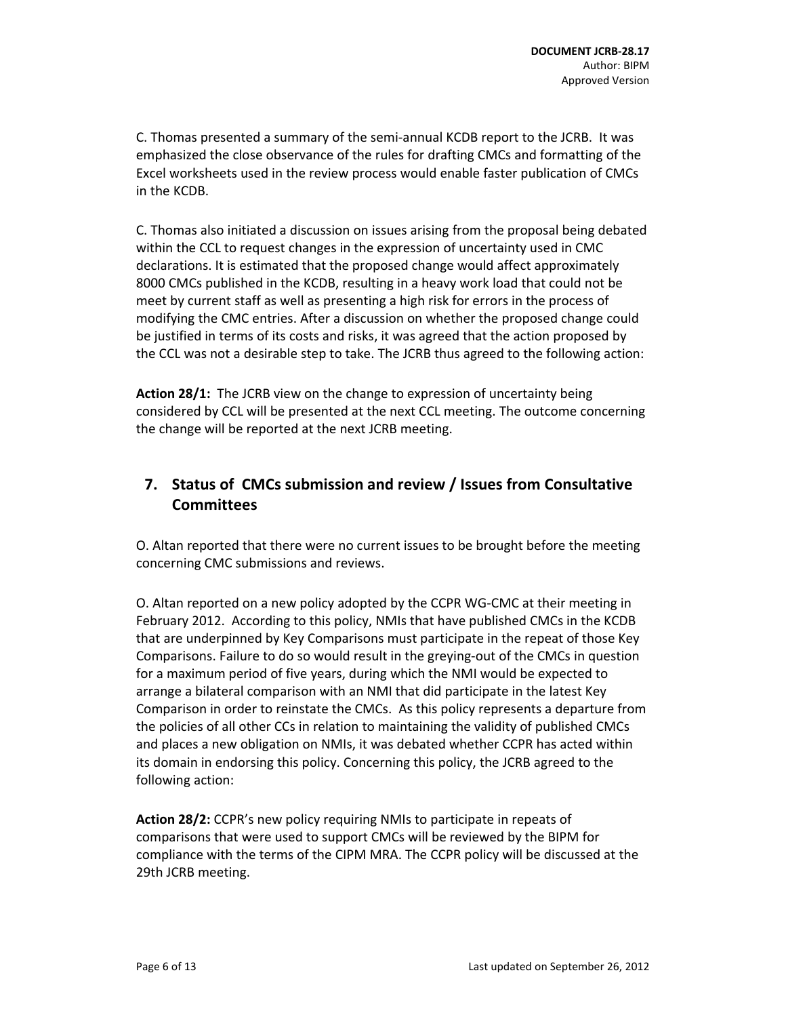C. Thomas presented a summary of the semi‐annual KCDB report to the JCRB. It was emphasized the close observance of the rules for drafting CMCs and formatting of the Excel worksheets used in the review process would enable faster publication of CMCs in the KCDB.

C. Thomas also initiated a discussion on issues arising from the proposal being debated within the CCL to request changes in the expression of uncertainty used in CMC declarations. It is estimated that the proposed change would affect approximately 8000 CMCs published in the KCDB, resulting in a heavy work load that could not be meet by current staff as well as presenting a high risk for errors in the process of modifying the CMC entries. After a discussion on whether the proposed change could be justified in terms of its costs and risks, it was agreed that the action proposed by the CCL was not a desirable step to take. The JCRB thus agreed to the following action:

**Action 28/1:** The JCRB view on the change to expression of uncertainty being considered by CCL will be presented at the next CCL meeting. The outcome concerning the change will be reported at the next JCRB meeting.

# **7. Status of CMCs submission and review / Issues from Consultative Committees**

O. Altan reported that there were no current issues to be brought before the meeting concerning CMC submissions and reviews.

O. Altan reported on a new policy adopted by the CCPR WG‐CMC at their meeting in February 2012. According to this policy, NMIs that have published CMCs in the KCDB that are underpinned by Key Comparisons must participate in the repeat of those Key Comparisons. Failure to do so would result in the greying‐out of the CMCs in question for a maximum period of five years, during which the NMI would be expected to arrange a bilateral comparison with an NMI that did participate in the latest Key Comparison in order to reinstate the CMCs. As this policy represents a departure from the policies of all other CCs in relation to maintaining the validity of published CMCs and places a new obligation on NMIs, it was debated whether CCPR has acted within its domain in endorsing this policy. Concerning this policy, the JCRB agreed to the following action:

**Action 28/2:** CCPR's new policy requiring NMIs to participate in repeats of comparisons that were used to support CMCs will be reviewed by the BIPM for compliance with the terms of the CIPM MRA. The CCPR policy will be discussed at the 29th JCRB meeting.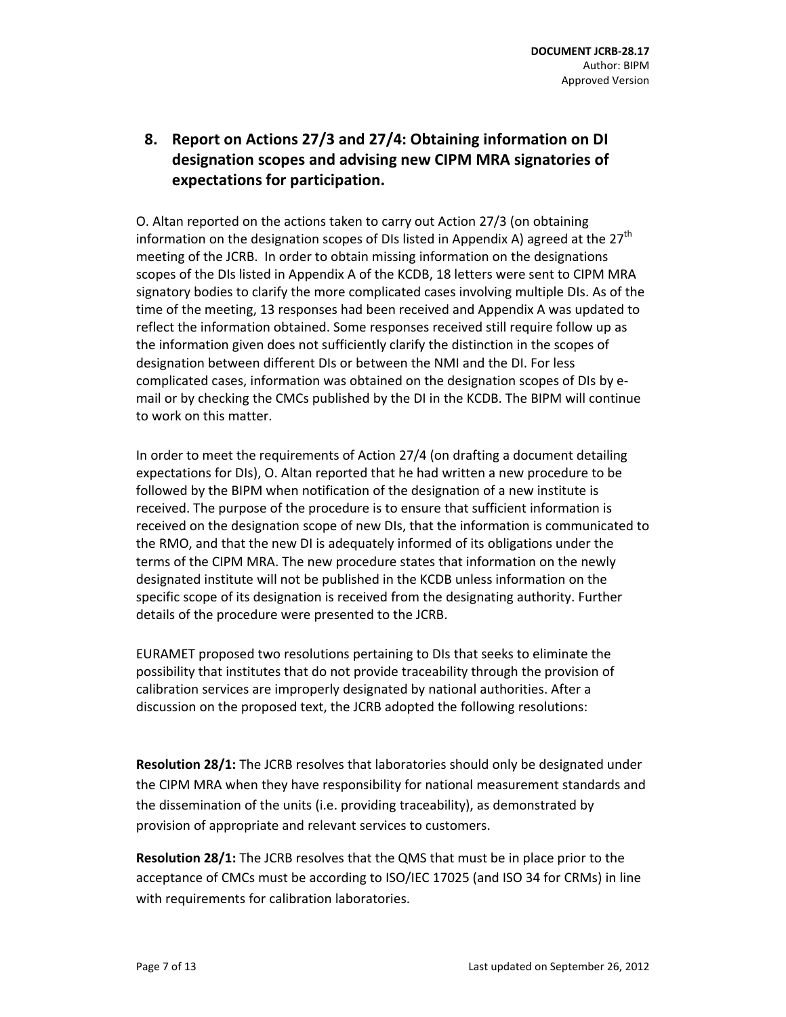# **8. Report on Actions 27/3 and 27/4: Obtaining information on DI designation scopes and advising new CIPM MRA signatories of expectations for participation.**

O. Altan reported on the actions taken to carry out Action 27/3 (on obtaining information on the designation scopes of DIs listed in Appendix A) agreed at the  $27<sup>th</sup>$ meeting of the JCRB. In order to obtain missing information on the designations scopes of the DIs listed in Appendix A of the KCDB, 18 letters were sent to CIPM MRA signatory bodies to clarify the more complicated cases involving multiple DIs. As of the time of the meeting, 13 responses had been received and Appendix A was updated to reflect the information obtained. Some responses received still require follow up as the information given does not sufficiently clarify the distinction in the scopes of designation between different DIs or between the NMI and the DI. For less complicated cases, information was obtained on the designation scopes of DIs by e‐ mail or by checking the CMCs published by the DI in the KCDB. The BIPM will continue to work on this matter.

In order to meet the requirements of Action 27/4 (on drafting a document detailing expectations for DIs), O. Altan reported that he had written a new procedure to be followed by the BIPM when notification of the designation of a new institute is received. The purpose of the procedure is to ensure that sufficient information is received on the designation scope of new DIs, that the information is communicated to the RMO, and that the new DI is adequately informed of its obligations under the terms of the CIPM MRA. The new procedure states that information on the newly designated institute will not be published in the KCDB unless information on the specific scope of its designation is received from the designating authority. Further details of the procedure were presented to the JCRB.

EURAMET proposed two resolutions pertaining to DIs that seeks to eliminate the possibility that institutes that do not provide traceability through the provision of calibration services are improperly designated by national authorities. After a discussion on the proposed text, the JCRB adopted the following resolutions:

**Resolution 28/1:** The JCRB resolves that laboratories should only be designated under the CIPM MRA when they have responsibility for national measurement standards and the dissemination of the units (i.e. providing traceability), as demonstrated by provision of appropriate and relevant services to customers.

**Resolution 28/1:** The JCRB resolves that the QMS that must be in place prior to the acceptance of CMCs must be according to ISO/IEC 17025 (and ISO 34 for CRMs) in line with requirements for calibration laboratories.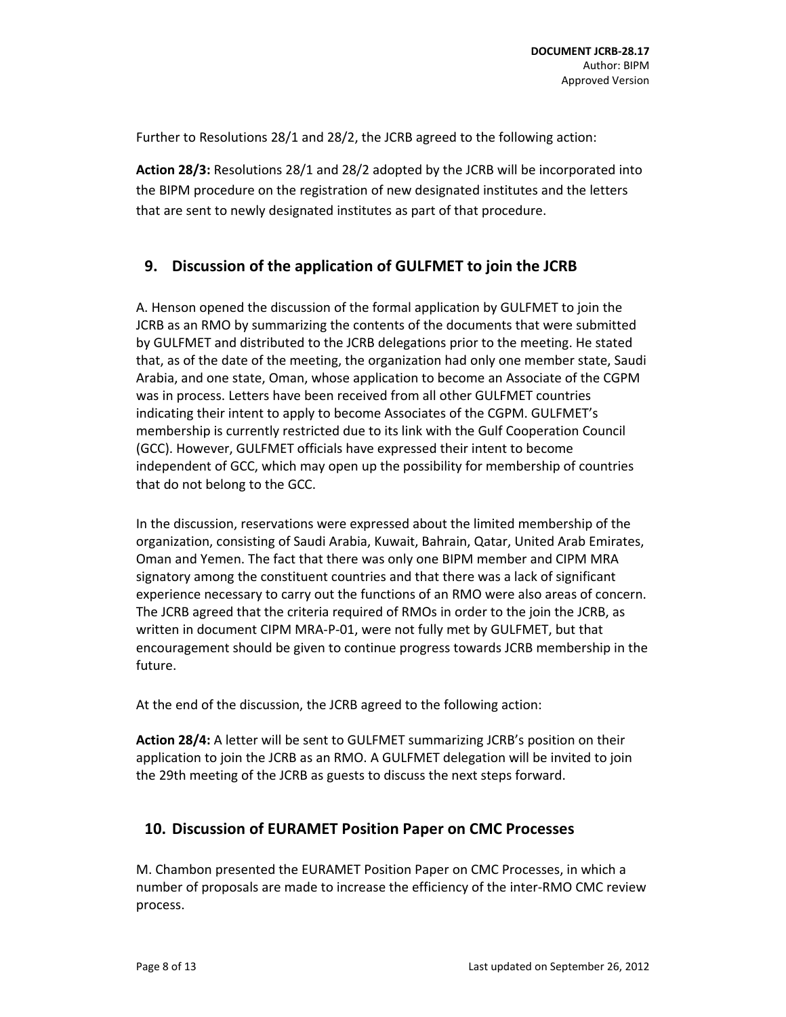Further to Resolutions 28/1 and 28/2, the JCRB agreed to the following action:

**Action 28/3:** Resolutions 28/1 and 28/2 adopted by the JCRB will be incorporated into the BIPM procedure on the registration of new designated institutes and the letters that are sent to newly designated institutes as part of that procedure.

## **9. Discussion of the application of GULFMET to join the JCRB**

A. Henson opened the discussion of the formal application by GULFMET to join the JCRB as an RMO by summarizing the contents of the documents that were submitted by GULFMET and distributed to the JCRB delegations prior to the meeting. He stated that, as of the date of the meeting, the organization had only one member state, Saudi Arabia, and one state, Oman, whose application to become an Associate of the CGPM was in process. Letters have been received from all other GULFMET countries indicating their intent to apply to become Associates of the CGPM. GULFMET's membership is currently restricted due to its link with the Gulf Cooperation Council (GCC). However, GULFMET officials have expressed their intent to become independent of GCC, which may open up the possibility for membership of countries that do not belong to the GCC.

In the discussion, reservations were expressed about the limited membership of the organization, consisting of Saudi Arabia, Kuwait, Bahrain, Qatar, United Arab Emirates, Oman and Yemen. The fact that there was only one BIPM member and CIPM MRA signatory among the constituent countries and that there was a lack of significant experience necessary to carry out the functions of an RMO were also areas of concern. The JCRB agreed that the criteria required of RMOs in order to the join the JCRB, as written in document CIPM MRA‐P‐01, were not fully met by GULFMET, but that encouragement should be given to continue progress towards JCRB membership in the future.

At the end of the discussion, the JCRB agreed to the following action:

**Action 28/4:** A letter will be sent to GULFMET summarizing JCRB's position on their application to join the JCRB as an RMO. A GULFMET delegation will be invited to join the 29th meeting of the JCRB as guests to discuss the next steps forward.

#### **10. Discussion of EURAMET Position Paper on CMC Processes**

M. Chambon presented the EURAMET Position Paper on CMC Processes, in which a number of proposals are made to increase the efficiency of the inter‐RMO CMC review process.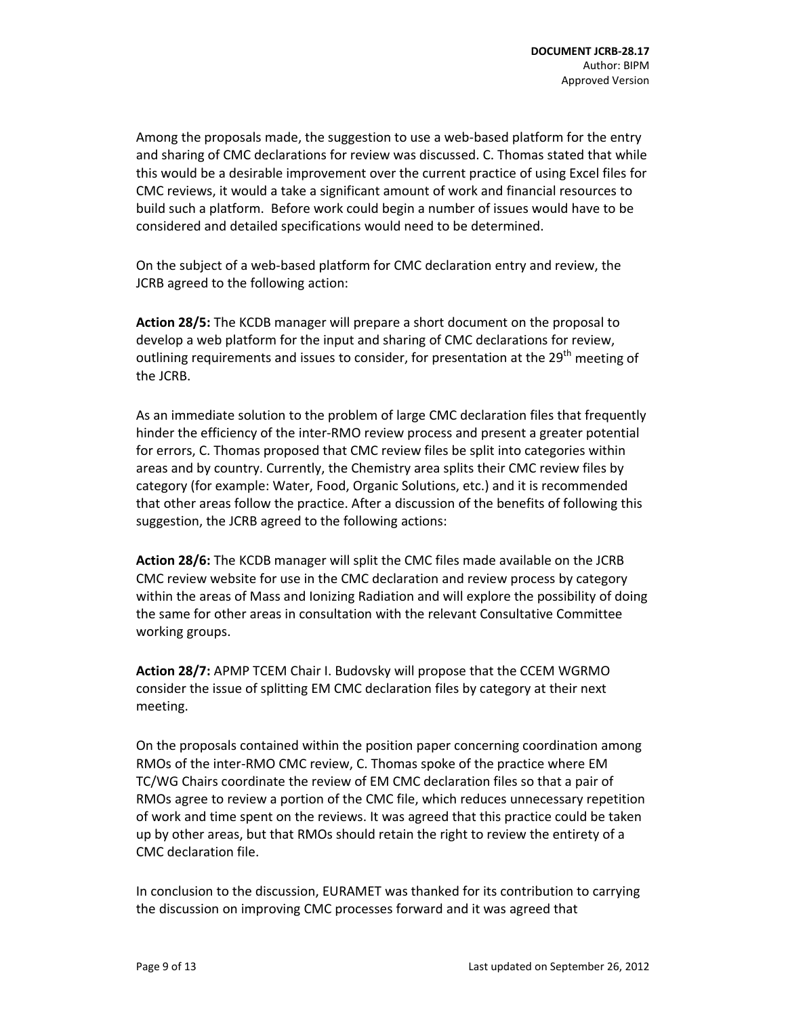Among the proposals made, the suggestion to use a web‐based platform for the entry and sharing of CMC declarations for review was discussed. C. Thomas stated that while this would be a desirable improvement over the current practice of using Excel files for CMC reviews, it would a take a significant amount of work and financial resources to build such a platform. Before work could begin a number of issues would have to be considered and detailed specifications would need to be determined.

On the subject of a web‐based platform for CMC declaration entry and review, the JCRB agreed to the following action:

**Action 28/5:** The KCDB manager will prepare a short document on the proposal to develop a web platform for the input and sharing of CMC declarations for review, outlining requirements and issues to consider, for presentation at the 29<sup>th</sup> meeting of the JCRB.

As an immediate solution to the problem of large CMC declaration files that frequently hinder the efficiency of the inter‐RMO review process and present a greater potential for errors, C. Thomas proposed that CMC review files be split into categories within areas and by country. Currently, the Chemistry area splits their CMC review files by category (for example: Water, Food, Organic Solutions, etc.) and it is recommended that other areas follow the practice. After a discussion of the benefits of following this suggestion, the JCRB agreed to the following actions:

**Action 28/6:** The KCDB manager will split the CMC files made available on the JCRB CMC review website for use in the CMC declaration and review process by category within the areas of Mass and Ionizing Radiation and will explore the possibility of doing the same for other areas in consultation with the relevant Consultative Committee working groups.

**Action 28/7:** APMP TCEM Chair I. Budovsky will propose that the CCEM WGRMO consider the issue of splitting EM CMC declaration files by category at their next meeting.

On the proposals contained within the position paper concerning coordination among RMOs of the inter‐RMO CMC review, C. Thomas spoke of the practice where EM TC/WG Chairs coordinate the review of EM CMC declaration files so that a pair of RMOs agree to review a portion of the CMC file, which reduces unnecessary repetition of work and time spent on the reviews. It was agreed that this practice could be taken up by other areas, but that RMOs should retain the right to review the entirety of a CMC declaration file.

In conclusion to the discussion, EURAMET was thanked for its contribution to carrying the discussion on improving CMC processes forward and it was agreed that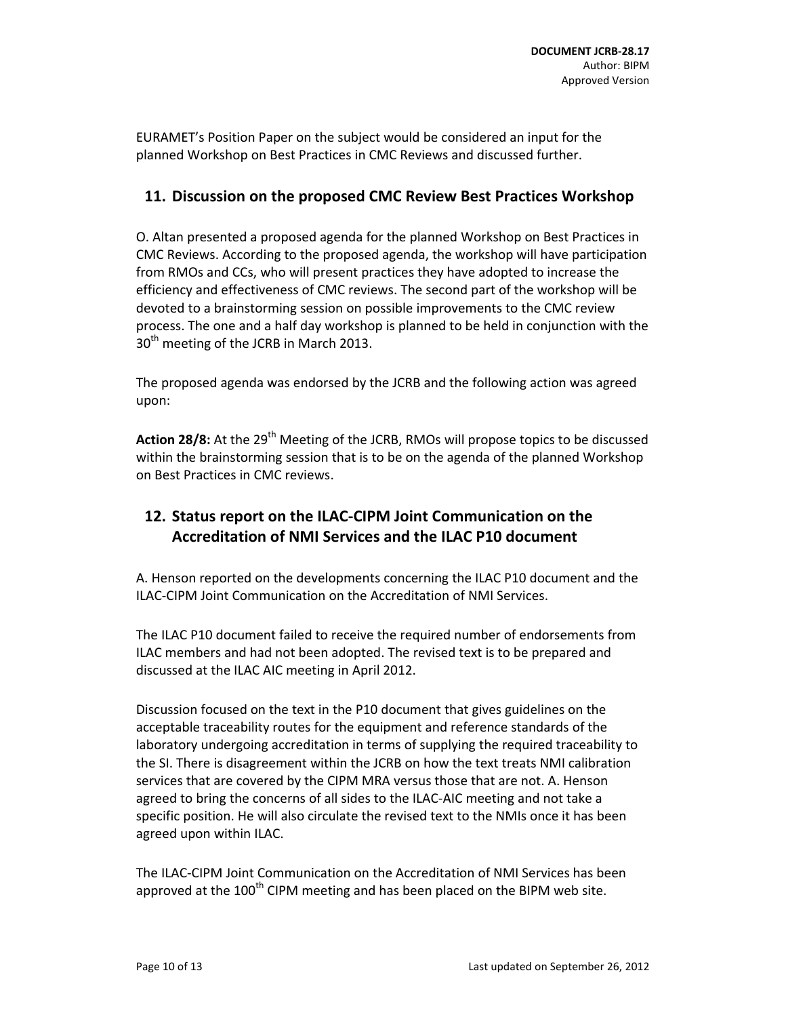EURAMET's Position Paper on the subject would be considered an input for the planned Workshop on Best Practices in CMC Reviews and discussed further.

## **11. Discussion on the proposed CMC Review Best Practices Workshop**

O. Altan presented a proposed agenda for the planned Workshop on Best Practices in CMC Reviews. According to the proposed agenda, the workshop will have participation from RMOs and CCs, who will present practices they have adopted to increase the efficiency and effectiveness of CMC reviews. The second part of the workshop will be devoted to a brainstorming session on possible improvements to the CMC review process. The one and a half day workshop is planned to be held in conjunction with the  $30<sup>th</sup>$  meeting of the JCRB in March 2013.

The proposed agenda was endorsed by the JCRB and the following action was agreed upon:

Action 28/8: At the 29<sup>th</sup> Meeting of the JCRB, RMOs will propose topics to be discussed within the brainstorming session that is to be on the agenda of the planned Workshop on Best Practices in CMC reviews.

# **12. Status report on the ILAC‐CIPM Joint Communication on the Accreditation of NMI Services and the ILAC P10 document**

A. Henson reported on the developments concerning the ILAC P10 document and the ILAC‐CIPM Joint Communication on the Accreditation of NMI Services.

The ILAC P10 document failed to receive the required number of endorsements from ILAC members and had not been adopted. The revised text is to be prepared and discussed at the ILAC AIC meeting in April 2012.

Discussion focused on the text in the P10 document that gives guidelines on the acceptable traceability routes for the equipment and reference standards of the laboratory undergoing accreditation in terms of supplying the required traceability to the SI. There is disagreement within the JCRB on how the text treats NMI calibration services that are covered by the CIPM MRA versus those that are not. A. Henson agreed to bring the concerns of all sides to the ILAC‐AIC meeting and not take a specific position. He will also circulate the revised text to the NMIs once it has been agreed upon within ILAC.

The ILAC‐CIPM Joint Communication on the Accreditation of NMI Services has been approved at the  $100<sup>th</sup>$  CIPM meeting and has been placed on the BIPM web site.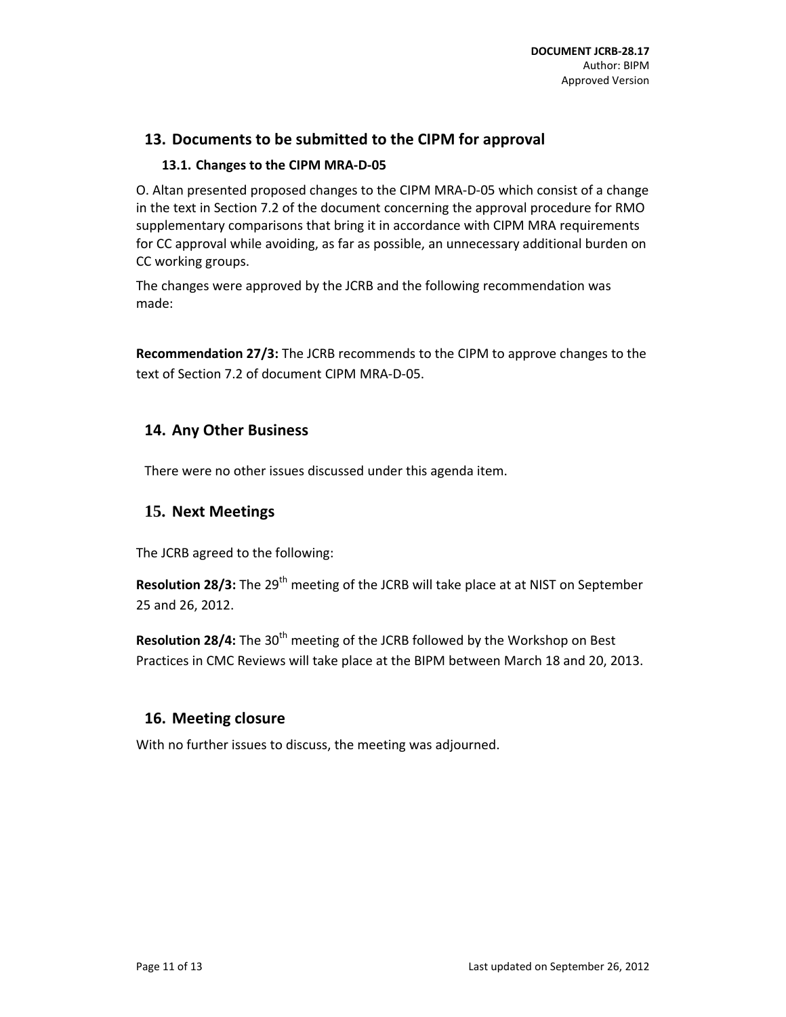# **13. Documents to be submitted to the CIPM for approval**

#### **13.1. Changes to the CIPM MRA‐D‐05**

O. Altan presented proposed changes to the CIPM MRA‐D‐05 which consist of a change in the text in Section 7.2 of the document concerning the approval procedure for RMO supplementary comparisons that bring it in accordance with CIPM MRA requirements for CC approval while avoiding, as far as possible, an unnecessary additional burden on CC working groups.

The changes were approved by the JCRB and the following recommendation was made:

**Recommendation 27/3:** The JCRB recommends to the CIPM to approve changes to the text of Section 7.2 of document CIPM MRA‐D‐05.

## **14. Any Other Business**

There were no other issues discussed under this agenda item.

## **15. Next Meetings**

The JCRB agreed to the following:

**Resolution 28/3:** The 29<sup>th</sup> meeting of the JCRB will take place at at NIST on September 25 and 26, 2012.

**Resolution 28/4:** The 30<sup>th</sup> meeting of the JCRB followed by the Workshop on Best Practices in CMC Reviews will take place at the BIPM between March 18 and 20, 2013.

#### **16. Meeting closure**

With no further issues to discuss, the meeting was adjourned.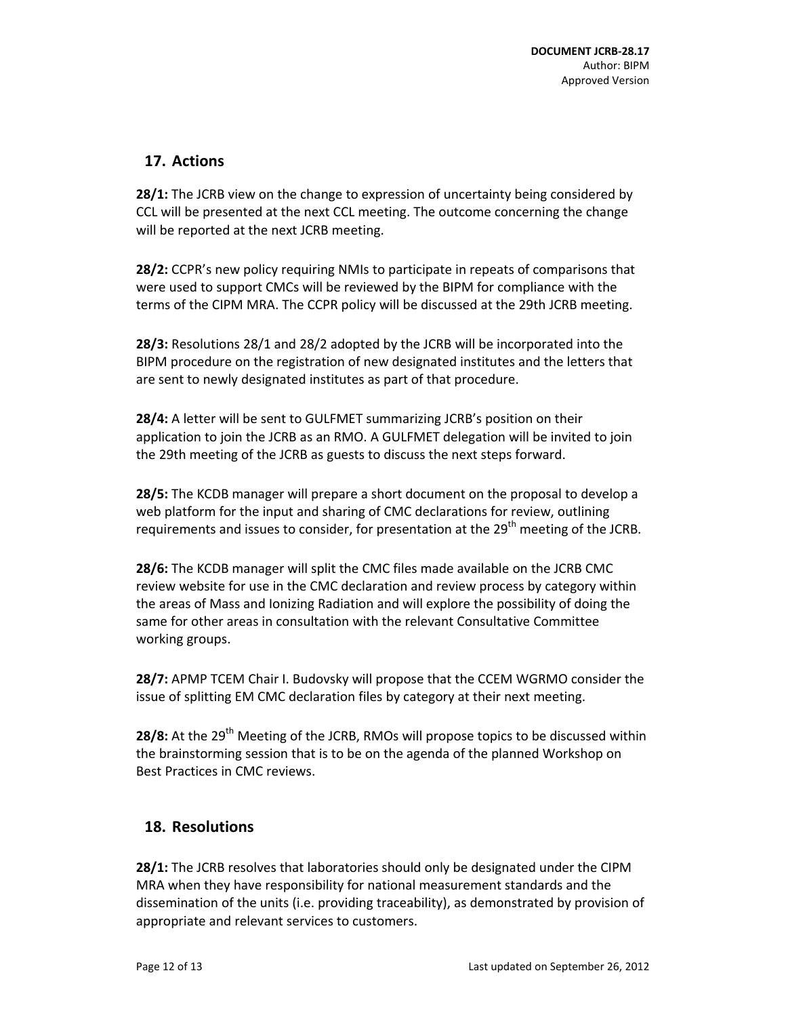# **17. Actions**

**28/1:** The JCRB view on the change to expression of uncertainty being considered by CCL will be presented at the next CCL meeting. The outcome concerning the change will be reported at the next JCRB meeting.

**28/2:** CCPR's new policy requiring NMIs to participate in repeats of comparisons that were used to support CMCs will be reviewed by the BIPM for compliance with the terms of the CIPM MRA. The CCPR policy will be discussed at the 29th JCRB meeting.

**28/3:** Resolutions 28/1 and 28/2 adopted by the JCRB will be incorporated into the BIPM procedure on the registration of new designated institutes and the letters that are sent to newly designated institutes as part of that procedure.

**28/4:** A letter will be sent to GULFMET summarizing JCRB's position on their application to join the JCRB as an RMO. A GULFMET delegation will be invited to join the 29th meeting of the JCRB as guests to discuss the next steps forward.

**28/5:** The KCDB manager will prepare a short document on the proposal to develop a web platform for the input and sharing of CMC declarations for review, outlining requirements and issues to consider, for presentation at the 29<sup>th</sup> meeting of the JCRB.

**28/6:** The KCDB manager will split the CMC files made available on the JCRB CMC review website for use in the CMC declaration and review process by category within the areas of Mass and Ionizing Radiation and will explore the possibility of doing the same for other areas in consultation with the relevant Consultative Committee working groups.

**28/7:** APMP TCEM Chair I. Budovsky will propose that the CCEM WGRMO consider the issue of splitting EM CMC declaration files by category at their next meeting.

**28/8:** At the 29<sup>th</sup> Meeting of the JCRB, RMOs will propose topics to be discussed within the brainstorming session that is to be on the agenda of the planned Workshop on Best Practices in CMC reviews.

# **18. Resolutions**

**28/1:** The JCRB resolves that laboratories should only be designated under the CIPM MRA when they have responsibility for national measurement standards and the dissemination of the units (i.e. providing traceability), as demonstrated by provision of appropriate and relevant services to customers.